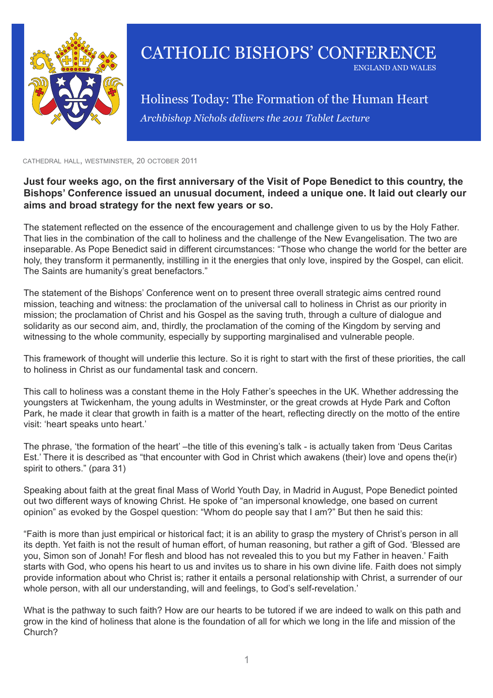

## CATHOLIC BISHOPS' CONFERENCE england and wales

*Archbishop Nichols delivers the 2011 Tablet Lecture* Holiness Today: The Formation of the Human Heart

cathedral hall, westminster, 20 october 2011

## **Just four weeks ago, on the first anniversary of the Visit of Pope Benedict to this country, the Bishops' Conference issued an unusual document, indeed a unique one. It laid out clearly our aims and broad strategy for the next few years or so.**

The statement reflected on the essence of the encouragement and challenge given to us by the Holy Father. That lies in the combination of the call to holiness and the challenge of the New Evangelisation. The two are inseparable. As Pope Benedict said in different circumstances: "Those who change the world for the better are holy, they transform it permanently, instilling in it the energies that only love, inspired by the Gospel, can elicit. The Saints are humanity's great benefactors."

The statement of the Bishops' Conference went on to present three overall strategic aims centred round mission, teaching and witness: the proclamation of the universal call to holiness in Christ as our priority in mission; the proclamation of Christ and his Gospel as the saving truth, through a culture of dialogue and solidarity as our second aim, and, thirdly, the proclamation of the coming of the Kingdom by serving and witnessing to the whole community, especially by supporting marginalised and vulnerable people.

This framework of thought will underlie this lecture. So it is right to start with the first of these priorities, the call to holiness in Christ as our fundamental task and concern.

This call to holiness was a constant theme in the Holy Father's speeches in the UK. Whether addressing the youngsters at Twickenham, the young adults in Westminster, or the great crowds at Hyde Park and Cofton Park, he made it clear that growth in faith is a matter of the heart, reflecting directly on the motto of the entire visit: 'heart speaks unto heart.'

The phrase, 'the formation of the heart' –the title of this evening's talk - is actually taken from 'Deus Caritas Est.' There it is described as "that encounter with God in Christ which awakens (their) love and opens the(ir) spirit to others." (para 31)

Speaking about faith at the great final Mass of World Youth Day, in Madrid in August, Pope Benedict pointed out two different ways of knowing Christ. He spoke of "an impersonal knowledge, one based on current opinion" as evoked by the Gospel question: "Whom do people say that I am?" But then he said this:

"Faith is more than just empirical or historical fact; it is an ability to grasp the mystery of Christ's person in all its depth. Yet faith is not the result of human effort, of human reasoning, but rather a gift of God. 'Blessed are you, Simon son of Jonah! For flesh and blood has not revealed this to you but my Father in heaven.' Faith starts with God, who opens his heart to us and invites us to share in his own divine life. Faith does not simply provide information about who Christ is; rather it entails a personal relationship with Christ, a surrender of our whole person, with all our understanding, will and feelings, to God's self-revelation.'

What is the pathway to such faith? How are our hearts to be tutored if we are indeed to walk on this path and grow in the kind of holiness that alone is the foundation of all for which we long in the life and mission of the Church?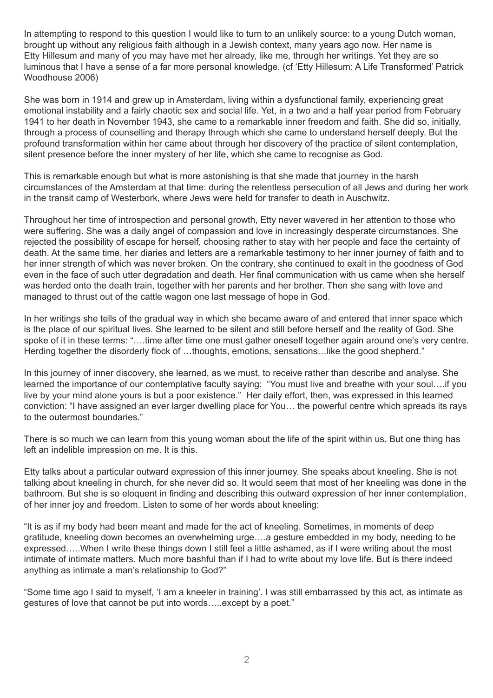In attempting to respond to this question I would like to turn to an unlikely source: to a young Dutch woman, brought up without any religious faith although in a Jewish context, many years ago now. Her name is Etty Hillesum and many of you may have met her already, like me, through her writings. Yet they are so luminous that I have a sense of a far more personal knowledge. (cf 'Etty Hillesum: A Life Transformed' Patrick Woodhouse 2006)

She was born in 1914 and grew up in Amsterdam, living within a dysfunctional family, experiencing great emotional instability and a fairly chaotic sex and social life. Yet, in a two and a half year period from February 1941 to her death in November 1943, she came to a remarkable inner freedom and faith. She did so, initially, through a process of counselling and therapy through which she came to understand herself deeply. But the profound transformation within her came about through her discovery of the practice of silent contemplation, silent presence before the inner mystery of her life, which she came to recognise as God.

This is remarkable enough but what is more astonishing is that she made that journey in the harsh circumstances of the Amsterdam at that time: during the relentless persecution of all Jews and during her work in the transit camp of Westerbork, where Jews were held for transfer to death in Auschwitz.

Throughout her time of introspection and personal growth, Etty never wavered in her attention to those who were suffering. She was a daily angel of compassion and love in increasingly desperate circumstances. She rejected the possibility of escape for herself, choosing rather to stay with her people and face the certainty of death. At the same time, her diaries and letters are a remarkable testimony to her inner journey of faith and to her inner strength of which was never broken. On the contrary, she continued to exalt in the goodness of God even in the face of such utter degradation and death. Her final communication with us came when she herself was herded onto the death train, together with her parents and her brother. Then she sang with love and managed to thrust out of the cattle wagon one last message of hope in God.

In her writings she tells of the gradual way in which she became aware of and entered that inner space which is the place of our spiritual lives. She learned to be silent and still before herself and the reality of God. She spoke of it in these terms: "….time after time one must gather oneself together again around one's very centre. Herding together the disorderly flock of …thoughts, emotions, sensations…like the good shepherd."

In this journey of inner discovery, she learned, as we must, to receive rather than describe and analyse. She learned the importance of our contemplative faculty saying: "You must live and breathe with your soul….if you live by your mind alone yours is but a poor existence." Her daily effort, then, was expressed in this learned conviction: "I have assigned an ever larger dwelling place for You… the powerful centre which spreads its rays to the outermost boundaries."

There is so much we can learn from this young woman about the life of the spirit within us. But one thing has left an indelible impression on me. It is this.

Etty talks about a particular outward expression of this inner journey. She speaks about kneeling. She is not talking about kneeling in church, for she never did so. It would seem that most of her kneeling was done in the bathroom. But she is so eloquent in finding and describing this outward expression of her inner contemplation, of her inner joy and freedom. Listen to some of her words about kneeling:

"It is as if my body had been meant and made for the act of kneeling. Sometimes, in moments of deep gratitude, kneeling down becomes an overwhelming urge….a gesture embedded in my body, needing to be expressed…..When I write these things down I still feel a little ashamed, as if I were writing about the most intimate of intimate matters. Much more bashful than if I had to write about my love life. But is there indeed anything as intimate a man's relationship to God?"

"Some time ago I said to myself, 'I am a kneeler in training'. I was still embarrassed by this act, as intimate as gestures of love that cannot be put into words…..except by a poet."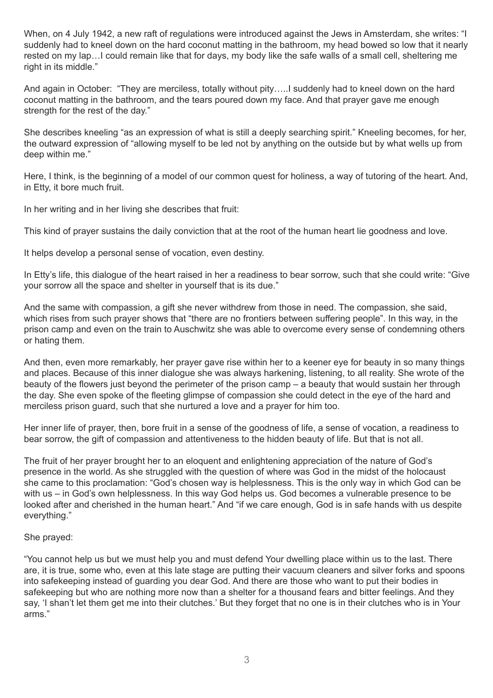When, on 4 July 1942, a new raft of regulations were introduced against the Jews in Amsterdam, she writes: "I suddenly had to kneel down on the hard coconut matting in the bathroom, my head bowed so low that it nearly rested on my lap…I could remain like that for days, my body like the safe walls of a small cell, sheltering me right in its middle."

And again in October: "They are merciless, totally without pity…..I suddenly had to kneel down on the hard coconut matting in the bathroom, and the tears poured down my face. And that prayer gave me enough strength for the rest of the day."

She describes kneeling "as an expression of what is still a deeply searching spirit." Kneeling becomes, for her, the outward expression of "allowing myself to be led not by anything on the outside but by what wells up from deep within me."

Here, I think, is the beginning of a model of our common quest for holiness, a way of tutoring of the heart. And, in Etty, it bore much fruit.

In her writing and in her living she describes that fruit:

This kind of prayer sustains the daily conviction that at the root of the human heart lie goodness and love.

It helps develop a personal sense of vocation, even destiny.

In Etty's life, this dialogue of the heart raised in her a readiness to bear sorrow, such that she could write: "Give your sorrow all the space and shelter in yourself that is its due."

And the same with compassion, a gift she never withdrew from those in need. The compassion, she said, which rises from such prayer shows that "there are no frontiers between suffering people". In this way, in the prison camp and even on the train to Auschwitz she was able to overcome every sense of condemning others or hating them.

And then, even more remarkably, her prayer gave rise within her to a keener eye for beauty in so many things and places. Because of this inner dialogue she was always harkening, listening, to all reality. She wrote of the beauty of the flowers just beyond the perimeter of the prison camp – a beauty that would sustain her through the day. She even spoke of the fleeting glimpse of compassion she could detect in the eye of the hard and merciless prison guard, such that she nurtured a love and a prayer for him too.

Her inner life of prayer, then, bore fruit in a sense of the goodness of life, a sense of vocation, a readiness to bear sorrow, the gift of compassion and attentiveness to the hidden beauty of life. But that is not all.

The fruit of her prayer brought her to an eloquent and enlightening appreciation of the nature of God's presence in the world. As she struggled with the question of where was God in the midst of the holocaust she came to this proclamation: "God's chosen way is helplessness. This is the only way in which God can be with us – in God's own helplessness. In this way God helps us. God becomes a vulnerable presence to be looked after and cherished in the human heart." And "if we care enough, God is in safe hands with us despite everything."

## She prayed:

"You cannot help us but we must help you and must defend Your dwelling place within us to the last. There are, it is true, some who, even at this late stage are putting their vacuum cleaners and silver forks and spoons into safekeeping instead of guarding you dear God. And there are those who want to put their bodies in safekeeping but who are nothing more now than a shelter for a thousand fears and bitter feelings. And they say, 'I shan't let them get me into their clutches.' But they forget that no one is in their clutches who is in Your arms."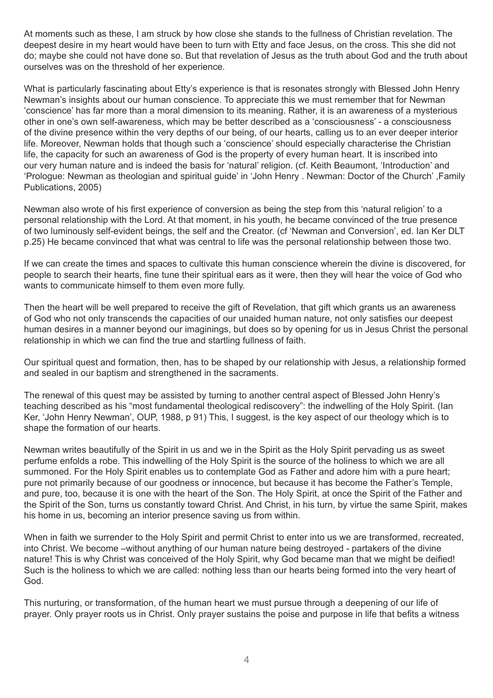At moments such as these, I am struck by how close she stands to the fullness of Christian revelation. The deepest desire in my heart would have been to turn with Etty and face Jesus, on the cross. This she did not do; maybe she could not have done so. But that revelation of Jesus as the truth about God and the truth about ourselves was on the threshold of her experience.

What is particularly fascinating about Etty's experience is that is resonates strongly with Blessed John Henry Newman's insights about our human conscience. To appreciate this we must remember that for Newman 'conscience' has far more than a moral dimension to its meaning. Rather, it is an awareness of a mysterious other in one's own self-awareness, which may be better described as a 'consciousness' - a consciousness of the divine presence within the very depths of our being, of our hearts, calling us to an ever deeper interior life. Moreover, Newman holds that though such a 'conscience' should especially characterise the Christian life, the capacity for such an awareness of God is the property of every human heart. It is inscribed into our very human nature and is indeed the basis for 'natural' religion. (cf. Keith Beaumont, 'Introduction' and 'Prologue: Newman as theologian and spiritual guide' in 'John Henry . Newman: Doctor of the Church' ,Family Publications, 2005)

Newman also wrote of his first experience of conversion as being the step from this 'natural religion' to a personal relationship with the Lord. At that moment, in his youth, he became convinced of the true presence of two luminously self-evident beings, the self and the Creator. (cf 'Newman and Conversion', ed. Ian Ker DLT p.25) He became convinced that what was central to life was the personal relationship between those two.

If we can create the times and spaces to cultivate this human conscience wherein the divine is discovered, for people to search their hearts, fine tune their spiritual ears as it were, then they will hear the voice of God who wants to communicate himself to them even more fully.

Then the heart will be well prepared to receive the gift of Revelation, that gift which grants us an awareness of God who not only transcends the capacities of our unaided human nature, not only satisfies our deepest human desires in a manner beyond our imaginings, but does so by opening for us in Jesus Christ the personal relationship in which we can find the true and startling fullness of faith.

Our spiritual quest and formation, then, has to be shaped by our relationship with Jesus, a relationship formed and sealed in our baptism and strengthened in the sacraments.

The renewal of this quest may be assisted by turning to another central aspect of Blessed John Henry's teaching described as his "most fundamental theological rediscovery": the indwelling of the Holy Spirit. (Ian Ker, 'John Henry Newman', OUP, 1988, p 91) This, I suggest, is the key aspect of our theology which is to shape the formation of our hearts.

Newman writes beautifully of the Spirit in us and we in the Spirit as the Holy Spirit pervading us as sweet perfume enfolds a robe. This indwelling of the Holy Spirit is the source of the holiness to which we are all summoned. For the Holy Spirit enables us to contemplate God as Father and adore him with a pure heart; pure not primarily because of our goodness or innocence, but because it has become the Father's Temple, and pure, too, because it is one with the heart of the Son. The Holy Spirit, at once the Spirit of the Father and the Spirit of the Son, turns us constantly toward Christ. And Christ, in his turn, by virtue the same Spirit, makes his home in us, becoming an interior presence saving us from within.

When in faith we surrender to the Holy Spirit and permit Christ to enter into us we are transformed, recreated, into Christ. We become –without anything of our human nature being destroyed - partakers of the divine nature! This is why Christ was conceived of the Holy Spirit, why God became man that we might be deified! Such is the holiness to which we are called: nothing less than our hearts being formed into the very heart of God.

This nurturing, or transformation, of the human heart we must pursue through a deepening of our life of prayer. Only prayer roots us in Christ. Only prayer sustains the poise and purpose in life that befits a witness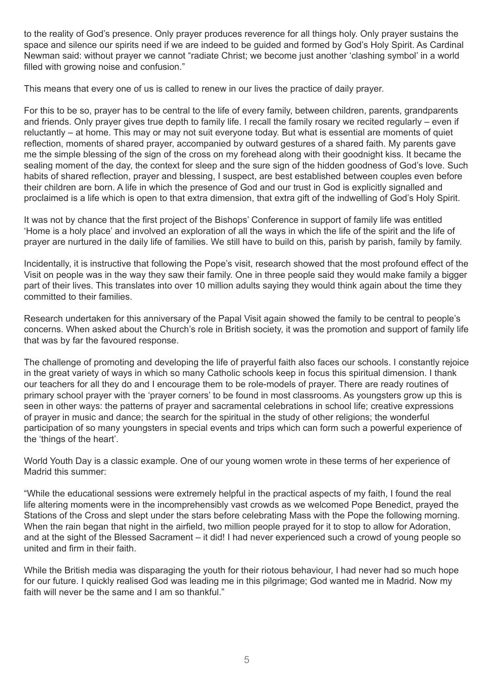to the reality of God's presence. Only prayer produces reverence for all things holy. Only prayer sustains the space and silence our spirits need if we are indeed to be guided and formed by God's Holy Spirit. As Cardinal Newman said: without prayer we cannot "radiate Christ; we become just another 'clashing symbol' in a world filled with growing noise and confusion."

This means that every one of us is called to renew in our lives the practice of daily prayer.

For this to be so, prayer has to be central to the life of every family, between children, parents, grandparents and friends. Only prayer gives true depth to family life. I recall the family rosary we recited regularly – even if reluctantly – at home. This may or may not suit everyone today. But what is essential are moments of quiet reflection, moments of shared prayer, accompanied by outward gestures of a shared faith. My parents gave me the simple blessing of the sign of the cross on my forehead along with their goodnight kiss. It became the sealing moment of the day, the context for sleep and the sure sign of the hidden goodness of God's love. Such habits of shared reflection, prayer and blessing, I suspect, are best established between couples even before their children are born. A life in which the presence of God and our trust in God is explicitly signalled and proclaimed is a life which is open to that extra dimension, that extra gift of the indwelling of God's Holy Spirit.

It was not by chance that the first project of the Bishops' Conference in support of family life was entitled 'Home is a holy place' and involved an exploration of all the ways in which the life of the spirit and the life of prayer are nurtured in the daily life of families. We still have to build on this, parish by parish, family by family.

Incidentally, it is instructive that following the Pope's visit, research showed that the most profound effect of the Visit on people was in the way they saw their family. One in three people said they would make family a bigger part of their lives. This translates into over 10 million adults saying they would think again about the time they committed to their families.

Research undertaken for this anniversary of the Papal Visit again showed the family to be central to people's concerns. When asked about the Church's role in British society, it was the promotion and support of family life that was by far the favoured response.

The challenge of promoting and developing the life of prayerful faith also faces our schools. I constantly rejoice in the great variety of ways in which so many Catholic schools keep in focus this spiritual dimension. I thank our teachers for all they do and I encourage them to be role-models of prayer. There are ready routines of primary school prayer with the 'prayer corners' to be found in most classrooms. As youngsters grow up this is seen in other ways: the patterns of prayer and sacramental celebrations in school life; creative expressions of prayer in music and dance; the search for the spiritual in the study of other religions; the wonderful participation of so many youngsters in special events and trips which can form such a powerful experience of the 'things of the heart'.

World Youth Day is a classic example. One of our young women wrote in these terms of her experience of Madrid this summer:

"While the educational sessions were extremely helpful in the practical aspects of my faith, I found the real life altering moments were in the incomprehensibly vast crowds as we welcomed Pope Benedict, prayed the Stations of the Cross and slept under the stars before celebrating Mass with the Pope the following morning. When the rain began that night in the airfield, two million people prayed for it to stop to allow for Adoration, and at the sight of the Blessed Sacrament – it did! I had never experienced such a crowd of young people so united and firm in their faith.

While the British media was disparaging the youth for their riotous behaviour, I had never had so much hope for our future. I quickly realised God was leading me in this pilgrimage; God wanted me in Madrid. Now my faith will never be the same and I am so thankful."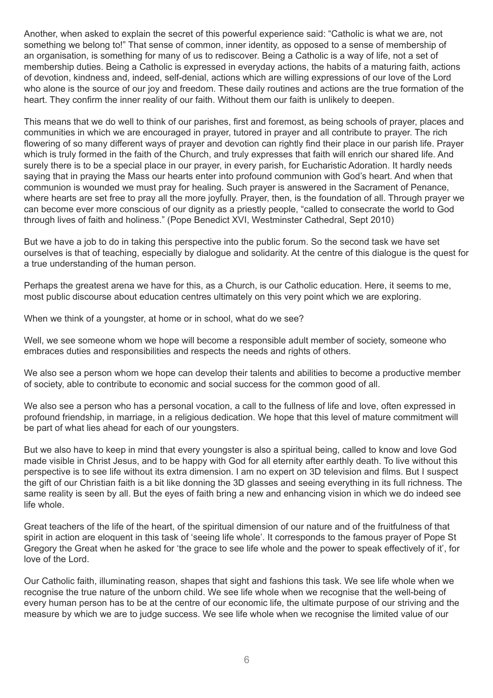Another, when asked to explain the secret of this powerful experience said: "Catholic is what we are, not something we belong to!" That sense of common, inner identity, as opposed to a sense of membership of an organisation, is something for many of us to rediscover. Being a Catholic is a way of life, not a set of membership duties. Being a Catholic is expressed in everyday actions, the habits of a maturing faith, actions of devotion, kindness and, indeed, self-denial, actions which are willing expressions of our love of the Lord who alone is the source of our joy and freedom. These daily routines and actions are the true formation of the heart. They confirm the inner reality of our faith. Without them our faith is unlikely to deepen.

This means that we do well to think of our parishes, first and foremost, as being schools of prayer, places and communities in which we are encouraged in prayer, tutored in prayer and all contribute to prayer. The rich flowering of so many different ways of prayer and devotion can rightly find their place in our parish life. Prayer which is truly formed in the faith of the Church, and truly expresses that faith will enrich our shared life. And surely there is to be a special place in our prayer, in every parish, for Eucharistic Adoration. It hardly needs saying that in praying the Mass our hearts enter into profound communion with God's heart. And when that communion is wounded we must pray for healing. Such prayer is answered in the Sacrament of Penance, where hearts are set free to pray all the more joyfully. Prayer, then, is the foundation of all. Through prayer we can become ever more conscious of our dignity as a priestly people, "called to consecrate the world to God through lives of faith and holiness." (Pope Benedict XVI, Westminster Cathedral, Sept 2010)

But we have a job to do in taking this perspective into the public forum. So the second task we have set ourselves is that of teaching, especially by dialogue and solidarity. At the centre of this dialogue is the quest for a true understanding of the human person.

Perhaps the greatest arena we have for this, as a Church, is our Catholic education. Here, it seems to me, most public discourse about education centres ultimately on this very point which we are exploring.

When we think of a youngster, at home or in school, what do we see?

Well, we see someone whom we hope will become a responsible adult member of society, someone who embraces duties and responsibilities and respects the needs and rights of others.

We also see a person whom we hope can develop their talents and abilities to become a productive member of society, able to contribute to economic and social success for the common good of all.

We also see a person who has a personal vocation, a call to the fullness of life and love, often expressed in profound friendship, in marriage, in a religious dedication. We hope that this level of mature commitment will be part of what lies ahead for each of our youngsters.

But we also have to keep in mind that every youngster is also a spiritual being, called to know and love God made visible in Christ Jesus, and to be happy with God for all eternity after earthly death. To live without this perspective is to see life without its extra dimension. I am no expert on 3D television and films. But I suspect the gift of our Christian faith is a bit like donning the 3D glasses and seeing everything in its full richness. The same reality is seen by all. But the eyes of faith bring a new and enhancing vision in which we do indeed see life whole.

Great teachers of the life of the heart, of the spiritual dimension of our nature and of the fruitfulness of that spirit in action are eloquent in this task of 'seeing life whole'. It corresponds to the famous prayer of Pope St Gregory the Great when he asked for 'the grace to see life whole and the power to speak effectively of it', for love of the Lord.

Our Catholic faith, illuminating reason, shapes that sight and fashions this task. We see life whole when we recognise the true nature of the unborn child. We see life whole when we recognise that the well-being of every human person has to be at the centre of our economic life, the ultimate purpose of our striving and the measure by which we are to judge success. We see life whole when we recognise the limited value of our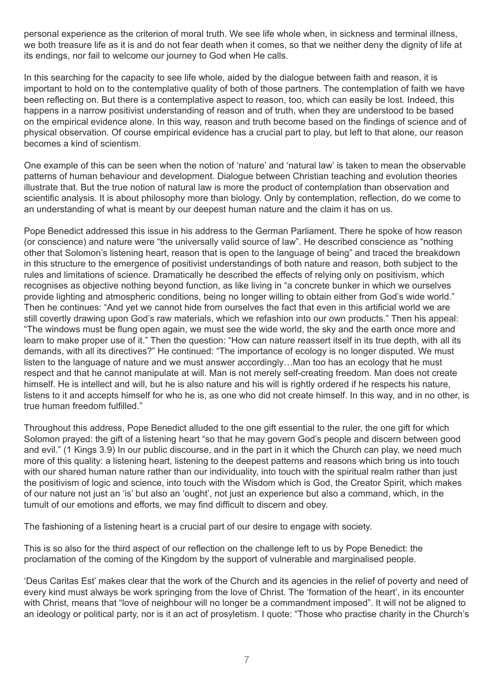personal experience as the criterion of moral truth. We see life whole when, in sickness and terminal illness, we both treasure life as it is and do not fear death when it comes, so that we neither deny the dignity of life at its endings, nor fail to welcome our journey to God when He calls.

In this searching for the capacity to see life whole, aided by the dialogue between faith and reason, it is important to hold on to the contemplative quality of both of those partners. The contemplation of faith we have been reflecting on. But there is a contemplative aspect to reason, too, which can easily be lost. Indeed, this happens in a narrow positivist understanding of reason and of truth, when they are understood to be based on the empirical evidence alone. In this way, reason and truth become based on the findings of science and of physical observation. Of course empirical evidence has a crucial part to play, but left to that alone, our reason becomes a kind of scientism.

One example of this can be seen when the notion of 'nature' and 'natural law' is taken to mean the observable patterns of human behaviour and development. Dialogue between Christian teaching and evolution theories illustrate that. But the true notion of natural law is more the product of contemplation than observation and scientific analysis. It is about philosophy more than biology. Only by contemplation, reflection, do we come to an understanding of what is meant by our deepest human nature and the claim it has on us.

Pope Benedict addressed this issue in his address to the German Parliament. There he spoke of how reason (or conscience) and nature were "the universally valid source of law". He described conscience as "nothing other that Solomon's listening heart, reason that is open to the language of being" and traced the breakdown in this structure to the emergence of positivist understandings of both nature and reason, both subject to the rules and limitations of science. Dramatically he described the effects of relying only on positivism, which recognises as objective nothing beyond function, as like living in "a concrete bunker in which we ourselves provide lighting and atmospheric conditions, being no longer willing to obtain either from God's wide world." Then he continues: "And yet we cannot hide from ourselves the fact that even in this artificial world we are still covertly drawing upon God's raw materials, which we refashion into our own products." Then his appeal: "The windows must be flung open again, we must see the wide world, the sky and the earth once more and learn to make proper use of it." Then the question: "How can nature reassert itself in its true depth, with all its demands, with all its directives?" He continued: "The importance of ecology is no longer disputed. We must listen to the language of nature and we must answer accordingly…Man too has an ecology that he must respect and that he cannot manipulate at will. Man is not merely self-creating freedom. Man does not create himself. He is intellect and will, but he is also nature and his will is rightly ordered if he respects his nature, listens to it and accepts himself for who he is, as one who did not create himself. In this way, and in no other, is true human freedom fulfilled."

Throughout this address, Pope Benedict alluded to the one gift essential to the ruler, the one gift for which Solomon prayed: the gift of a listening heart "so that he may govern God's people and discern between good and evil." (1 Kings 3.9) In our public discourse, and in the part in it which the Church can play, we need much more of this quality: a listening heart, listening to the deepest patterns and reasons which bring us into touch with our shared human nature rather than our individuality, into touch with the spiritual realm rather than just the positivism of logic and science, into touch with the Wisdom which is God, the Creator Spirit, which makes of our nature not just an 'is' but also an 'ought', not just an experience but also a command, which, in the tumult of our emotions and efforts, we may find difficult to discern and obey.

The fashioning of a listening heart is a crucial part of our desire to engage with society.

This is so also for the third aspect of our reflection on the challenge left to us by Pope Benedict: the proclamation of the coming of the Kingdom by the support of vulnerable and marginalised people.

'Deus Caritas Est' makes clear that the work of the Church and its agencies in the relief of poverty and need of every kind must always be work springing from the love of Christ. The 'formation of the heart', in its encounter with Christ, means that "love of neighbour will no longer be a commandment imposed". It will not be aligned to an ideology or political party, nor is it an act of prosyletism. I quote: "Those who practise charity in the Church's